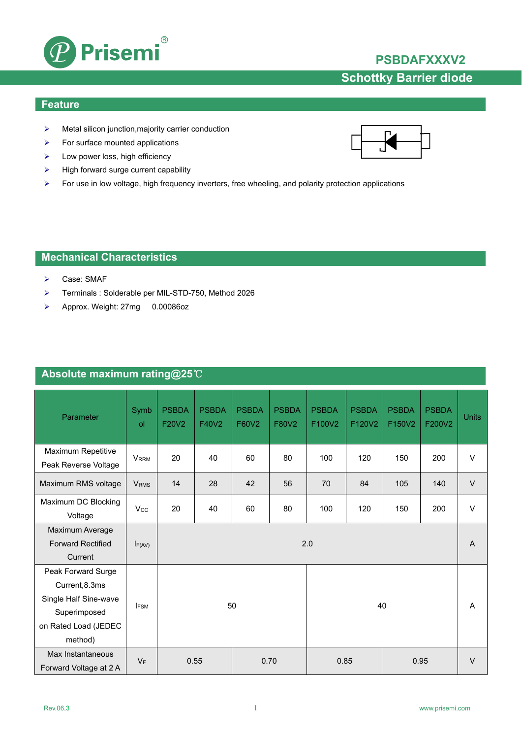

## **PSBDAFXXXV2**

# **Schottky Barrier diode**

#### **Feature**

- $\triangleright$  Metal silicon junction, majority carrier conduction
- $\triangleright$  For surface mounted applications
- $\blacktriangleright$  Low power loss, high efficiency
- $\triangleright$  High forward surge current capability
- For use in low voltage, high frequency inverters, free wheeling, and polarity protection applications

## **Mechanical Characteristics**

- Case: SMAF
- Terminals : Solderable per MIL-STD-750, Method 2026
- Approx. Weight: 27mg 0.00086oz

## **Absolute maximum rating@25**℃

| Parameter                                                                                                        | Symb<br>$\mathsf{d}$    | <b>PSBDA</b><br>F20V2 | <b>PSBDA</b><br>F40V2 | <b>PSBDA</b><br>F60V2 | <b>PSBDA</b><br>F80V2 | <b>PSBDA</b><br>F100V2 | <b>PSBDA</b><br>F120V2 | <b>PSBDA</b><br>F150V2 | <b>PSBDA</b><br>F200V2 | <b>Units</b> |
|------------------------------------------------------------------------------------------------------------------|-------------------------|-----------------------|-----------------------|-----------------------|-----------------------|------------------------|------------------------|------------------------|------------------------|--------------|
| Maximum Repetitive<br>Peak Reverse Voltage                                                                       | <b>VRRM</b>             | 20                    | 40                    | 60                    | 80                    | 100                    | 120                    | 150                    | 200                    | V            |
| Maximum RMS voltage                                                                                              | <b>V</b> <sub>RMS</sub> | 14                    | 28                    | 42                    | 56                    | 70                     | 84                     | 105                    | 140                    | $\vee$       |
| Maximum DC Blocking<br>Voltage                                                                                   | $V_{\rm CC}$            | 20                    | 40                    | 60                    | 80                    | 100                    | 120                    | 150                    | 200                    | V            |
| Maximum Average<br><b>Forward Rectified</b><br>Current                                                           | F(AV)                   | 2.0                   |                       |                       |                       |                        |                        |                        | A                      |              |
| Peak Forward Surge<br>Current, 8.3ms<br>Single Half Sine-wave<br>Superimposed<br>on Rated Load (JEDEC<br>method) | <b>IFSM</b>             | 50<br>40              |                       |                       |                       |                        |                        |                        | A                      |              |
| Max Instantaneous<br>Forward Voltage at 2 A                                                                      | $V_F$                   | 0.55<br>0.70          |                       |                       |                       | 0.85<br>0.95           |                        |                        |                        | V            |

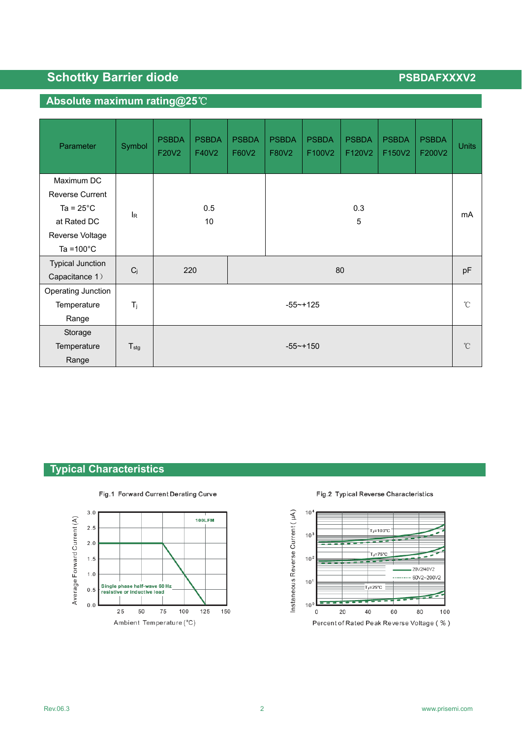# **Schottky Barrier diode PSBDAFXXXV2**

## **Absolute maximum rating@25**℃

| Parameter               | Symbol           | <b>PSBDA</b><br>F20V2 | <b>PSBDA</b><br>F40V2 | <b>PSBDA</b><br>F60V2 | <b>PSBDA</b><br>F80V2 | <b>PSBDA</b><br>F100V2 | <b>PSBDA</b><br>F120V2 | <b>PSBDA</b><br>F150V2 | <b>PSBDA</b><br>F200V2 | <b>Units</b> |
|-------------------------|------------------|-----------------------|-----------------------|-----------------------|-----------------------|------------------------|------------------------|------------------------|------------------------|--------------|
| Maximum DC              |                  |                       |                       |                       |                       |                        |                        |                        |                        |              |
| <b>Reverse Current</b>  |                  |                       |                       |                       |                       |                        |                        |                        |                        |              |
| Ta = $25^{\circ}$ C     | <b>I</b> R       | 0.5<br>10             |                       |                       |                       |                        | mA                     |                        |                        |              |
| at Rated DC             |                  |                       |                       |                       |                       |                        |                        |                        |                        |              |
| Reverse Voltage         |                  |                       |                       |                       |                       |                        |                        |                        |                        |              |
| Ta = $100^{\circ}$ C    |                  |                       |                       |                       |                       |                        |                        |                        |                        |              |
| <b>Typical Junction</b> |                  |                       |                       |                       |                       |                        |                        |                        |                        | pF           |
| Capacitance 1)          | $C_j$            | 220                   |                       |                       | 80                    |                        |                        |                        |                        |              |
| Operating Junction      |                  |                       |                       |                       |                       |                        |                        |                        |                        |              |
| Temperature             | $T_{j}$          | $-55 - +125$          |                       |                       |                       |                        |                        |                        |                        | $^{\circ}$ C |
| Range                   |                  |                       |                       |                       |                       |                        |                        |                        |                        |              |
| Storage                 |                  |                       |                       |                       |                       |                        |                        |                        |                        |              |
| Temperature             | $T_{\text{stg}}$ | $-55$ ~+150           |                       |                       |                       |                        |                        |                        | $^{\circ}$ C           |              |
| Range                   |                  |                       |                       |                       |                       |                        |                        |                        |                        |              |

## **Typical Characteristics**



### Fig.1 Forward Current Derating Curve

Fig.2 Typical Reverse Characteristics

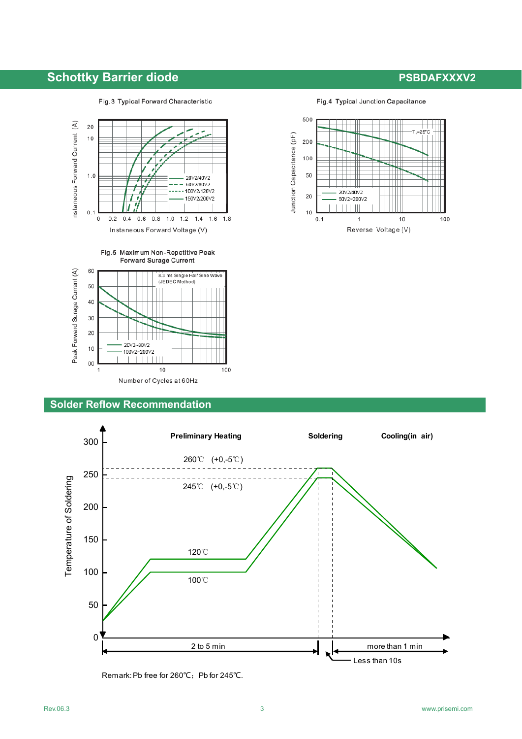## **Schottky Barrier diode PSBDAFXXXV2**

#### Fig.3 Typical Forward Characteristic

### Fig.4 Typical Junction Capacitance







### **Solder Reflow Recommendation**



Remark: Pb free for 260℃; Pb for 245℃.



Reverse Voltage (V)

 $10$ 

100

 $\perp \perp \perp$ 20V2/40V2

60V2~200V2  $111111$ 

 $\mathbf 1$ 

Junction Capacitance (pF)

50

20

 $10$ 

 $0.1$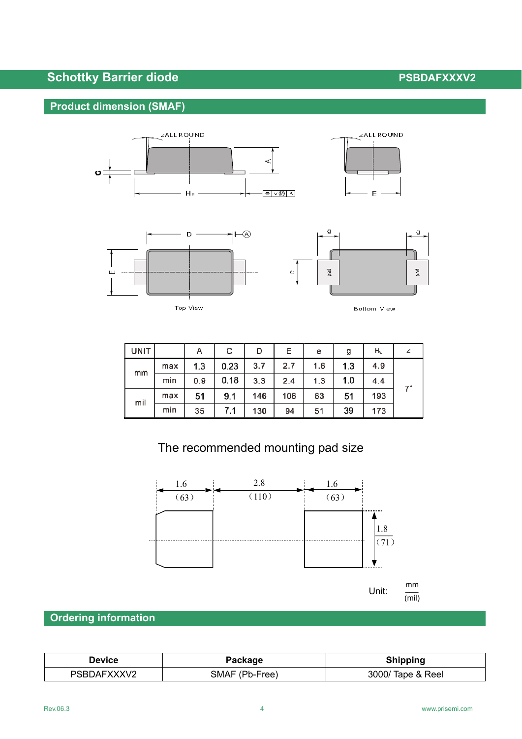# **Schottky Barrier diode PSBDAFXXXV2**

## **Product dimension (SMAF)**



| ⊶<br> |
|-------|
|       |



Bottom View

| <b>UNIT</b> |     | А   | с    | D   | Е   | e   | g   | $H_{E}$ |    |
|-------------|-----|-----|------|-----|-----|-----|-----|---------|----|
| mm          | max | 1.3 | 0.23 | 3.7 | 2.7 | 1.6 | 1.3 | 4.9     |    |
|             | min | 0.9 | 0.18 | 3.3 | 2.4 | 1.3 | 1.0 | 4.4     | 7° |
| mil         | max | 51  | 9.1  | 146 | 106 | 63  | 51  | 193     |    |
|             | min | 35  | 7.1  | 130 | 94  | 51  | 39  | 173     |    |

# The recommended mounting pad size



unit: Album and Album and Album and Album and Album and Album and Album and Album and Album and Album and Albu  $\frac{mm}{ }$ (mil)

## **Ordering information**

| Device      | Package        | <b>Shipping</b>   |  |  |
|-------------|----------------|-------------------|--|--|
| PSBDAFXXXV2 | SMAF (Pb-Free) | 3000/ Tape & Reel |  |  |